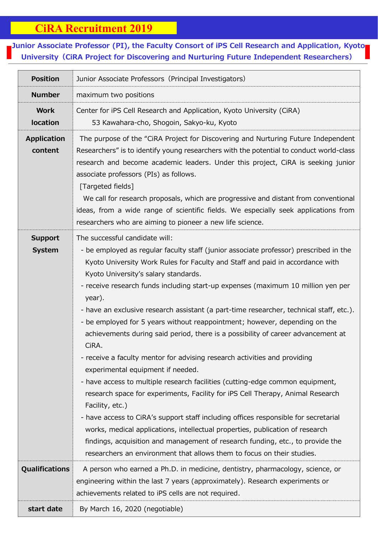## **CiRA Recruitment 2019**

## 7<br>7<br>7 **Junior Associate Professor (PI), the Faculty Consort of iPS Cell Research and Application, Kyoto University(CiRA Project for Discovering and Nurturing Future Independent Researchers)**

| <b>Position</b>                 | Junior Associate Professors (Principal Investigators)                                                                                                                                                                                                                                                                                                                                                                                                                                                                                                                                                                                                                                                                                                                                                                                                                                                                                                                                                                                                                                                                                                                                                                                                            |
|---------------------------------|------------------------------------------------------------------------------------------------------------------------------------------------------------------------------------------------------------------------------------------------------------------------------------------------------------------------------------------------------------------------------------------------------------------------------------------------------------------------------------------------------------------------------------------------------------------------------------------------------------------------------------------------------------------------------------------------------------------------------------------------------------------------------------------------------------------------------------------------------------------------------------------------------------------------------------------------------------------------------------------------------------------------------------------------------------------------------------------------------------------------------------------------------------------------------------------------------------------------------------------------------------------|
| <b>Number</b>                   | maximum two positions                                                                                                                                                                                                                                                                                                                                                                                                                                                                                                                                                                                                                                                                                                                                                                                                                                                                                                                                                                                                                                                                                                                                                                                                                                            |
| <b>Work</b><br><b>location</b>  | Center for iPS Cell Research and Application, Kyoto University (CiRA)<br>53 Kawahara-cho, Shogoin, Sakyo-ku, Kyoto                                                                                                                                                                                                                                                                                                                                                                                                                                                                                                                                                                                                                                                                                                                                                                                                                                                                                                                                                                                                                                                                                                                                               |
| <b>Application</b><br>content   | The purpose of the "CiRA Project for Discovering and Nurturing Future Independent<br>Researchers" is to identify young researchers with the potential to conduct world-class<br>research and become academic leaders. Under this project, CIRA is seeking junior<br>associate professors (PIs) as follows.<br>[Targeted fields]<br>We call for research proposals, which are progressive and distant from conventional<br>ideas, from a wide range of scientific fields. We especially seek applications from<br>researchers who are aiming to pioneer a new life science.                                                                                                                                                                                                                                                                                                                                                                                                                                                                                                                                                                                                                                                                                       |
| <b>Support</b><br><b>System</b> | The successful candidate will:<br>- be employed as regular faculty staff (junior associate professor) prescribed in the<br>Kyoto University Work Rules for Faculty and Staff and paid in accordance with<br>Kyoto University's salary standards.<br>- receive research funds including start-up expenses (maximum 10 million yen per<br>year).<br>- have an exclusive research assistant (a part-time researcher, technical staff, etc.).<br>- be employed for 5 years without reappointment; however, depending on the<br>achievements during said period, there is a possibility of career advancement at<br>CiRA.<br>- receive a faculty mentor for advising research activities and providing<br>experimental equipment if needed.<br>- have access to multiple research facilities (cutting-edge common equipment,<br>research space for experiments, Facility for iPS Cell Therapy, Animal Research<br>Facility, etc.)<br>- have access to CiRA's support staff including offices responsible for secretarial<br>works, medical applications, intellectual properties, publication of research<br>findings, acquisition and management of research funding, etc., to provide the<br>researchers an environment that allows them to focus on their studies. |
| <b>Qualifications</b>           | A person who earned a Ph.D. in medicine, dentistry, pharmacology, science, or<br>engineering within the last 7 years (approximately). Research experiments or<br>achievements related to iPS cells are not required.                                                                                                                                                                                                                                                                                                                                                                                                                                                                                                                                                                                                                                                                                                                                                                                                                                                                                                                                                                                                                                             |
| start date                      | By March 16, 2020 (negotiable)                                                                                                                                                                                                                                                                                                                                                                                                                                                                                                                                                                                                                                                                                                                                                                                                                                                                                                                                                                                                                                                                                                                                                                                                                                   |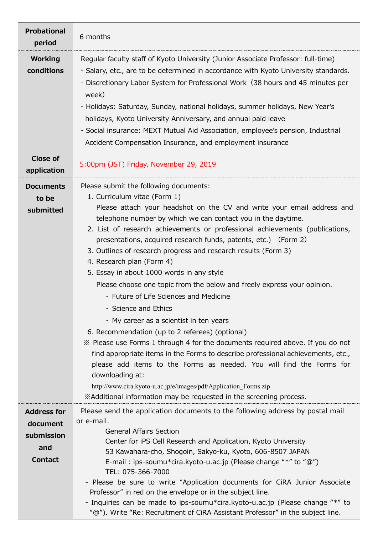| <b>Probational</b><br>period                                          | 6 months                                                                                                                                                                                                                                                                                                                                                                                                                                                                                                                                                                                                                                                                                                                                                                                                                                                                                                                                                                                                                                                                                                                                                                    |
|-----------------------------------------------------------------------|-----------------------------------------------------------------------------------------------------------------------------------------------------------------------------------------------------------------------------------------------------------------------------------------------------------------------------------------------------------------------------------------------------------------------------------------------------------------------------------------------------------------------------------------------------------------------------------------------------------------------------------------------------------------------------------------------------------------------------------------------------------------------------------------------------------------------------------------------------------------------------------------------------------------------------------------------------------------------------------------------------------------------------------------------------------------------------------------------------------------------------------------------------------------------------|
| <b>Working</b><br>conditions                                          | Regular faculty staff of Kyoto University (Junior Associate Professor: full-time)<br>- Salary, etc., are to be determined in accordance with Kyoto University standards.<br>- Discretionary Labor System for Professional Work (38 hours and 45 minutes per<br>week)<br>- Holidays: Saturday, Sunday, national holidays, summer holidays, New Year's<br>holidays, Kyoto University Anniversary, and annual paid leave<br>- Social insurance: MEXT Mutual Aid Association, employee's pension, Industrial<br>Accident Compensation Insurance, and employment insurance                                                                                                                                                                                                                                                                                                                                                                                                                                                                                                                                                                                                       |
| <b>Close of</b><br>application                                        | 5:00pm (JST) Friday, November 29, 2019                                                                                                                                                                                                                                                                                                                                                                                                                                                                                                                                                                                                                                                                                                                                                                                                                                                                                                                                                                                                                                                                                                                                      |
| <b>Documents</b><br>to be<br>submitted                                | Please submit the following documents:<br>1. Curriculum vitae (Form 1)<br>Please attach your headshot on the CV and write your email address and<br>telephone number by which we can contact you in the daytime.<br>2. List of research achievements or professional achievements (publications,<br>presentations, acquired research funds, patents, etc.) (Form 2)<br>3. Outlines of research progress and research results (Form 3)<br>4. Research plan (Form 4)<br>5. Essay in about 1000 words in any style<br>Please choose one topic from the below and freely express your opinion.<br>• Future of Life Sciences and Medicine<br>· Science and Ethics<br>$\cdot$ My career as a scientist in ten years<br>6. Recommendation (up to 2 referees) (optional)<br>X Please use Forms 1 through 4 for the documents required above. If you do not<br>find appropriate items in the Forms to describe professional achievements, etc.,<br>please add items to the Forms as needed. You will find the Forms for<br>downloading at:<br>http://www.cira.kyoto-u.ac.jp/e/images/pdf/Application Forms.zip<br>*Additional information may be requested in the screening process. |
| <b>Address for</b><br>document<br>submission<br>and<br><b>Contact</b> | Please send the application documents to the following address by postal mail<br>or e-mail.<br><b>General Affairs Section</b><br>Center for iPS Cell Research and Application, Kyoto University<br>53 Kawahara-cho, Shogoin, Sakyo-ku, Kyoto, 606-8507 JAPAN<br>E-mail: ips-soumu*cira.kyoto-u.ac.jp (Please change "*" to "@")<br>TEL: 075-366-7000<br>- Please be sure to write "Application documents for CiRA Junior Associate<br>Professor" in red on the envelope or in the subject line.<br>- Inquiries can be made to ips-soumu*cira.kyoto-u.ac.jp (Please change "*" to<br>"@"). Write "Re: Recruitment of CiRA Assistant Professor" in the subject line.                                                                                                                                                                                                                                                                                                                                                                                                                                                                                                          |